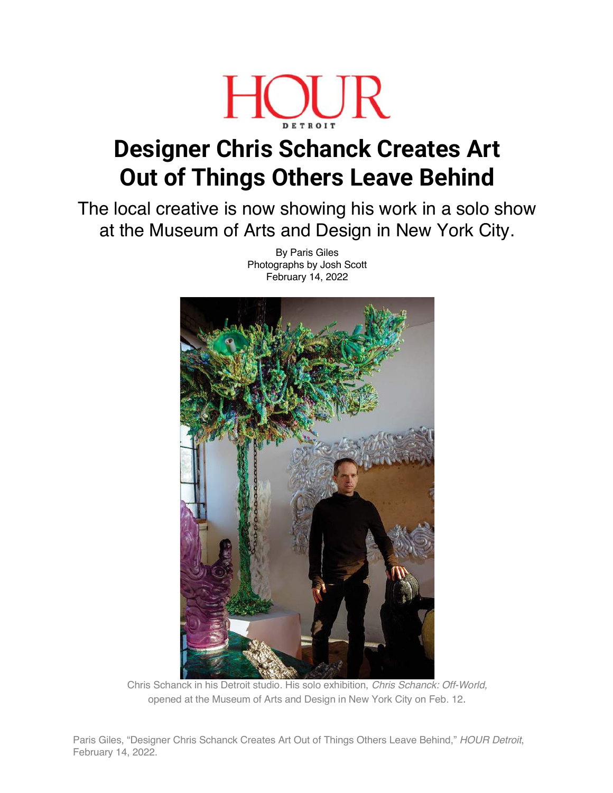

## **Designer Chris Schanck Creates Art Out of Things Others Leave Behind**

The local creative is now showing his work in a solo show at the Museum of Arts and Design in New York City.

By Paris Giles Photographs by Josh Scott February 14, 2022

Chris Schanck in his Detroit studio. His solo exhibition, *Chris Schanck: Off-World,* opened at the Museum of Arts and Design in New York City on Feb. 12.

Paris Giles, "Designer Chris Schanck Creates Art Out of Things Others Leave Behind," *HOUR Detroit*, February 14, 2022.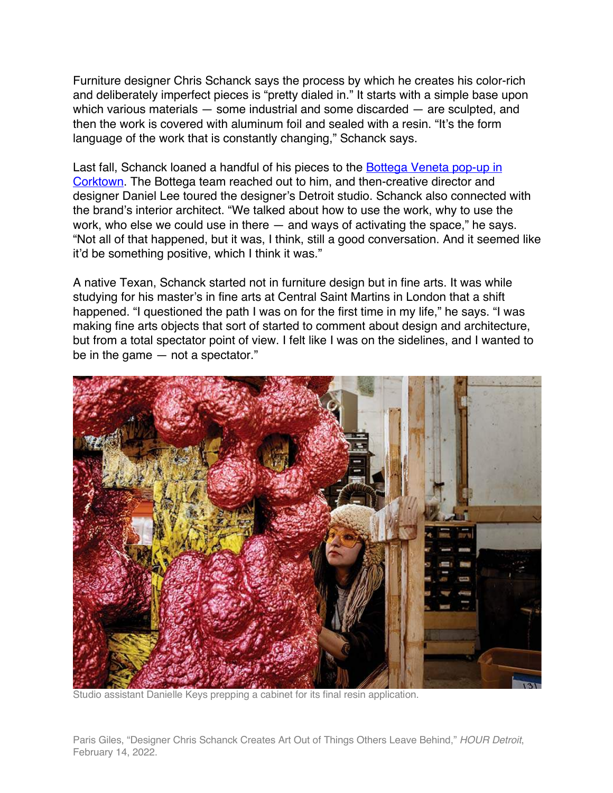Furniture designer Chris Schanck says the process by which he creates his color-rich and deliberately imperfect pieces is "pretty dialed in." It starts with a simple base upon which various materials — some industrial and some discarded — are sculpted, and then the work is covered with aluminum foil and sealed with a resin. "It's the form language of the work that is constantly changing," Schanck says.

Last fall, Schanck loaned a handful of his pieces to the Bottega Veneta pop-up in Corktown. The Bottega team reached out to him, and then-creative director and designer Daniel Lee toured the designer's Detroit studio. Schanck also connected with the brand's interior architect. "We talked about how to use the work, why to use the work, who else we could use in there — and ways of activating the space," he says. "Not all of that happened, but it was, I think, still a good conversation. And it seemed like it'd be something positive, which I think it was."

A native Texan, Schanck started not in furniture design but in fine arts. It was while studying for his master's in fine arts at Central Saint Martins in London that a shift happened. "I questioned the path I was on for the first time in my life," he says. "I was making fine arts objects that sort of started to comment about design and architecture, but from a total spectator point of view. I felt like I was on the sidelines, and I wanted to be in the game — not a spectator."



Studio assistant Danielle Keys prepping a cabinet for its final resin application.

Paris Giles, "Designer Chris Schanck Creates Art Out of Things Others Leave Behind," *HOUR Detroit*, February 14, 2022.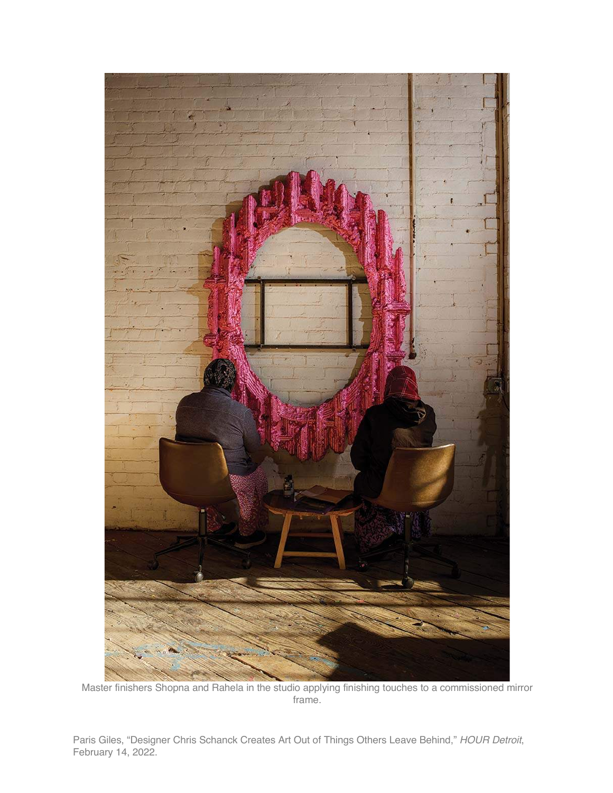

Master finishers Shopna and Rahela in the studio applying finishing touches to a commissioned mirror frame.

Paris Giles, "Designer Chris Schanck Creates Art Out of Things Others Leave Behind," *HOUR Detroit*, February 14, 2022.